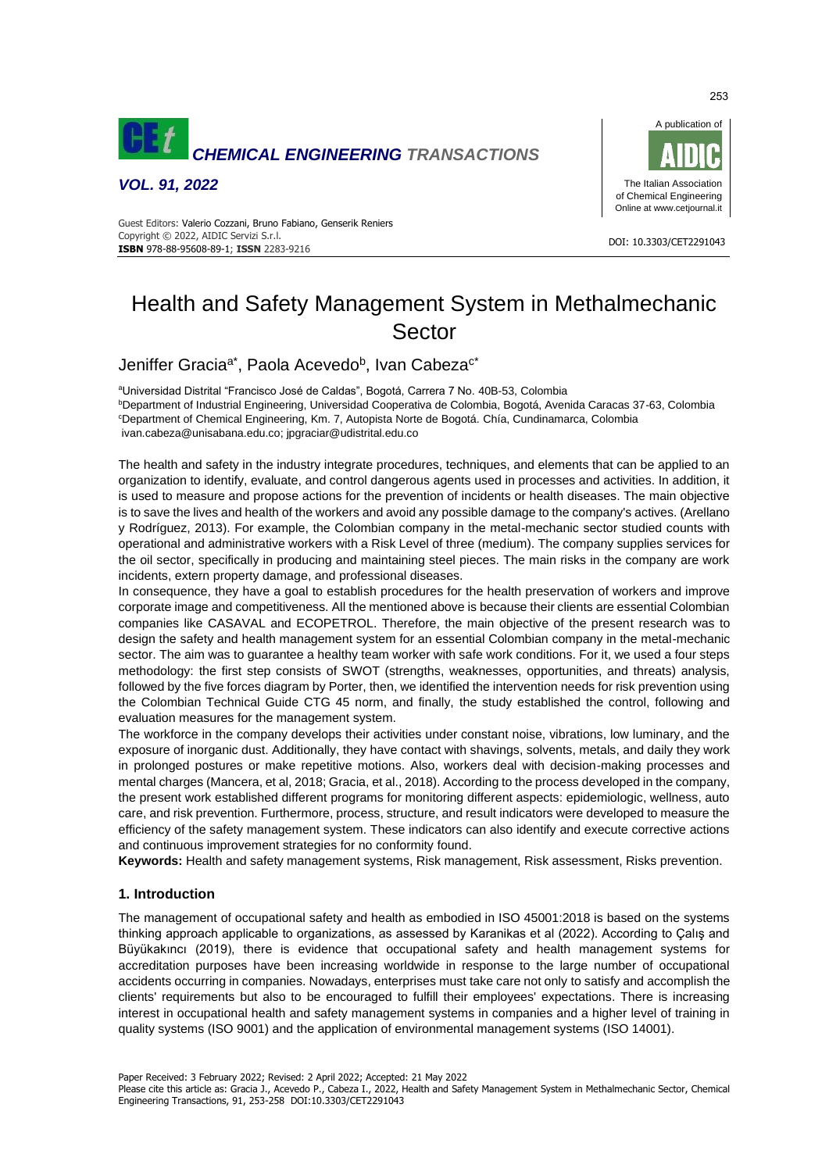

*VOL. 91, 2022*



#### DOI: 10.3303/CET2291043 **ISBN** 978-88-95608-89-1; **ISSN** 2283-9216 Guest Editors: Valerio Cozzani, Bruno Fabiano, Genserik Reniers Copyright © 2022, AIDIC Servizi S.r.l.

# Health and Safety Management System in Methalmechanic Sector

# Jeniffer Gracia<sup>a\*</sup>, Paola Acevedo<sup>b</sup>, Ivan Cabeza<sup>c\*</sup>

<sup>a</sup>Universidad Distrital "Francisco José de Caldas", Bogotá, Carrera 7 No. 40B-53, Colombia

<sup>b</sup>Department of Industrial Engineering, Universidad Cooperativa de Colombia, Bogotá, Avenida Caracas 37-63, Colombia <sup>c</sup>Department of Chemical Engineering, Km. 7, Autopista Norte de Bogotá. Chía, Cundinamarca, Colombia

[ivan.cabeza@unisabana.edu.co;](mailto:ivan.cabeza@unisabana.edu.co) [jpgraciar@udistrital.edu.co](mailto:jpgraciar@udistrital.edu.co)

The health and safety in the industry integrate procedures, techniques, and elements that can be applied to an organization to identify, evaluate, and control dangerous agents used in processes and activities. In addition, it is used to measure and propose actions for the prevention of incidents or health diseases. The main objective is to save the lives and health of the workers and avoid any possible damage to the company's actives. (Arellano y Rodríguez, 2013). For example, the Colombian company in the metal-mechanic sector studied counts with operational and administrative workers with a Risk Level of three (medium). The company supplies services for the oil sector, specifically in producing and maintaining steel pieces. The main risks in the company are work incidents, extern property damage, and professional diseases.

In consequence, they have a goal to establish procedures for the health preservation of workers and improve corporate image and competitiveness. All the mentioned above is because their clients are essential Colombian companies like CASAVAL and ECOPETROL. Therefore, the main objective of the present research was to design the safety and health management system for an essential Colombian company in the metal-mechanic sector. The aim was to guarantee a healthy team worker with safe work conditions. For it, we used a four steps methodology: the first step consists of SWOT (strengths, weaknesses, opportunities, and threats) analysis, followed by the five forces diagram by Porter, then, we identified the intervention needs for risk prevention using the Colombian Technical Guide CTG 45 norm, and finally, the study established the control, following and evaluation measures for the management system.

The workforce in the company develops their activities under constant noise, vibrations, low luminary, and the exposure of inorganic dust. Additionally, they have contact with shavings, solvents, metals, and daily they work in prolonged postures or make repetitive motions. Also, workers deal with decision-making processes and mental charges (Mancera, et al, 2018; Gracia, et al., 2018). According to the process developed in the company, the present work established different programs for monitoring different aspects: epidemiologic, wellness, auto care, and risk prevention. Furthermore, process, structure, and result indicators were developed to measure the efficiency of the safety management system. These indicators can also identify and execute corrective actions and continuous improvement strategies for no conformity found.

**Keywords:** Health and safety management systems, Risk management, Risk assessment, Risks prevention.

## **1. Introduction**

The management of occupational safety and health as embodied in ISO 45001:2018 is based on the systems thinking approach applicable to organizations, as assessed by Karanikas et al (2022). According to Çalış and Büyükakıncı (2019), there is evidence that occupational safety and health management systems for accreditation purposes have been increasing worldwide in response to the large number of occupational accidents occurring in companies. Nowadays, enterprises must take care not only to satisfy and accomplish the clients' requirements but also to be encouraged to fulfill their employees' expectations. There is increasing interest in occupational health and safety management systems in companies and a higher level of training in quality systems (ISO 9001) and the application of environmental management systems (ISO 14001).

Paper Received: 3 February 2022; Revised: 2 April 2022; Accepted: 21 May 2022

Please cite this article as: Gracia J., Acevedo P., Cabeza I., 2022, Health and Safety Management System in Methalmechanic Sector, Chemical Engineering Transactions, 91, 253-258 DOI:10.3303/CET2291043

253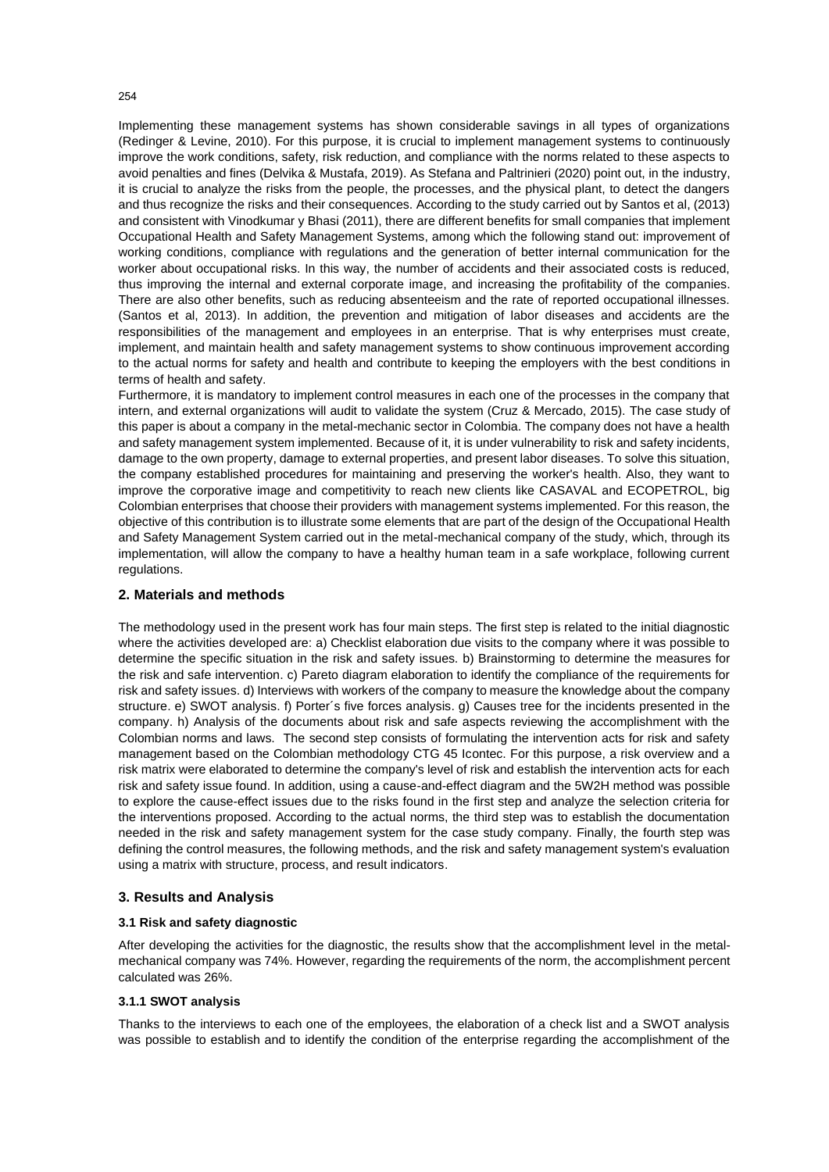Implementing these management systems has shown considerable savings in all types of organizations (Redinger & Levine, 2010). For this purpose, it is crucial to implement management systems to continuously improve the work conditions, safety, risk reduction, and compliance with the norms related to these aspects to avoid penalties and fines (Delvika & Mustafa, 2019). As Stefana and Paltrinieri (2020) point out, in the industry, it is crucial to analyze the risks from the people, the processes, and the physical plant, to detect the dangers and thus recognize the risks and their consequences. According to the study carried out by Santos et al, (2013) and consistent with Vinodkumar y Bhasi (2011), there are different benefits for small companies that implement Occupational Health and Safety Management Systems, among which the following stand out: improvement of working conditions, compliance with regulations and the generation of better internal communication for the worker about occupational risks. In this way, the number of accidents and their associated costs is reduced, thus improving the internal and external corporate image, and increasing the profitability of the companies. There are also other benefits, such as reducing absenteeism and the rate of reported occupational illnesses. (Santos et al, 2013). In addition, the prevention and mitigation of labor diseases and accidents are the responsibilities of the management and employees in an enterprise. That is why enterprises must create, implement, and maintain health and safety management systems to show continuous improvement according to the actual norms for safety and health and contribute to keeping the employers with the best conditions in terms of health and safety.

Furthermore, it is mandatory to implement control measures in each one of the processes in the company that intern, and external organizations will audit to validate the system (Cruz & Mercado, 2015). The case study of this paper is about a company in the metal-mechanic sector in Colombia. The company does not have a health and safety management system implemented. Because of it, it is under vulnerability to risk and safety incidents, damage to the own property, damage to external properties, and present labor diseases. To solve this situation, the company established procedures for maintaining and preserving the worker's health. Also, they want to improve the corporative image and competitivity to reach new clients like CASAVAL and ECOPETROL, big Colombian enterprises that choose their providers with management systems implemented. For this reason, the objective of this contribution is to illustrate some elements that are part of the design of the Occupational Health and Safety Management System carried out in the metal-mechanical company of the study, which, through its implementation, will allow the company to have a healthy human team in a safe workplace, following current regulations.

#### **2. Materials and methods**

The methodology used in the present work has four main steps. The first step is related to the initial diagnostic where the activities developed are: a) Checklist elaboration due visits to the company where it was possible to determine the specific situation in the risk and safety issues. b) Brainstorming to determine the measures for the risk and safe intervention. c) Pareto diagram elaboration to identify the compliance of the requirements for risk and safety issues. d) Interviews with workers of the company to measure the knowledge about the company structure. e) SWOT analysis. f) Porter´s five forces analysis. g) Causes tree for the incidents presented in the company. h) Analysis of the documents about risk and safe aspects reviewing the accomplishment with the Colombian norms and laws. The second step consists of formulating the intervention acts for risk and safety management based on the Colombian methodology CTG 45 Icontec. For this purpose, a risk overview and a risk matrix were elaborated to determine the company's level of risk and establish the intervention acts for each risk and safety issue found. In addition, using a cause-and-effect diagram and the 5W2H method was possible to explore the cause-effect issues due to the risks found in the first step and analyze the selection criteria for the interventions proposed. According to the actual norms, the third step was to establish the documentation needed in the risk and safety management system for the case study company. Finally, the fourth step was defining the control measures, the following methods, and the risk and safety management system's evaluation using a matrix with structure, process, and result indicators.

#### **3. Results and Analysis**

#### **3.1 Risk and safety diagnostic**

After developing the activities for the diagnostic, the results show that the accomplishment level in the metalmechanical company was 74%. However, regarding the requirements of the norm, the accomplishment percent calculated was 26%.

## **3.1.1 SWOT analysis**

Thanks to the interviews to each one of the employees, the elaboration of a check list and a SWOT analysis was possible to establish and to identify the condition of the enterprise regarding the accomplishment of the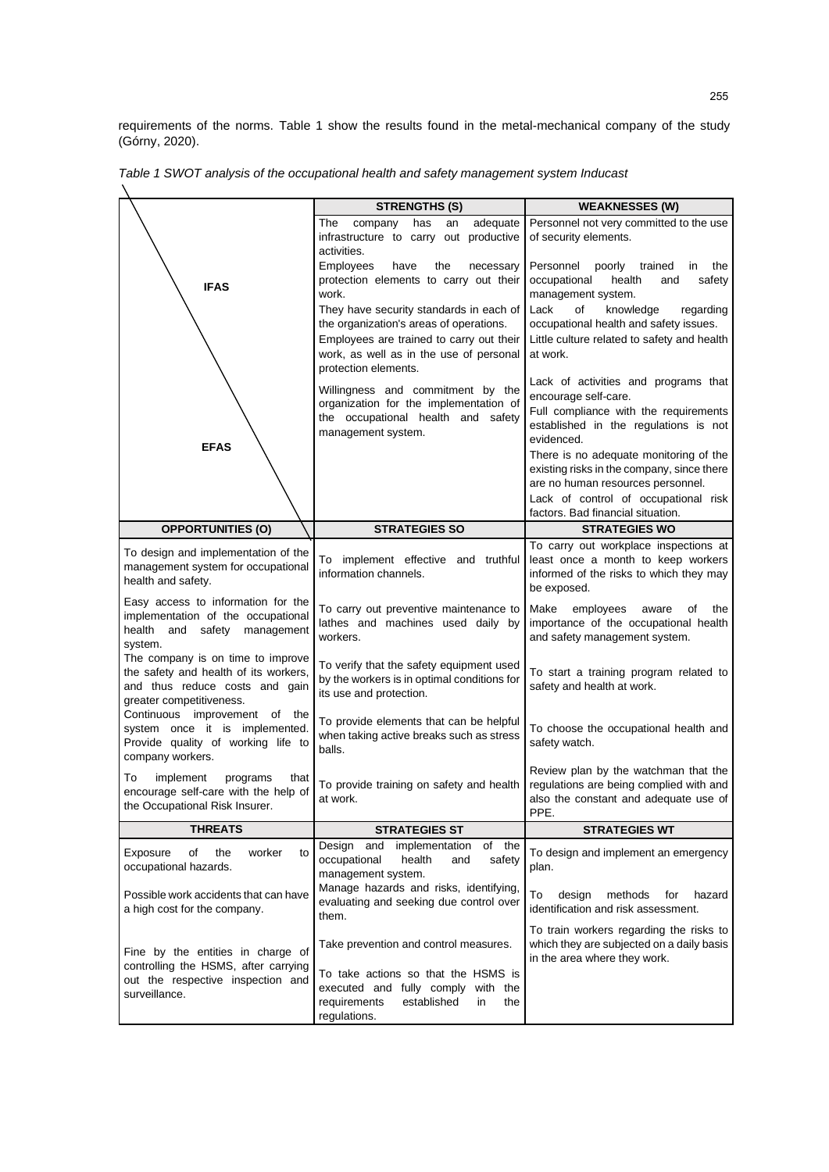requirements of the norms. Table 1 show the results found in the metal-mechanical company of the study (Górny, 2020).

|                                                                                                                                          | <b>STRENGTHS (S)</b>                                                                                                                                            | <b>WEAKNESSES (W)</b>                                                                                                                 |
|------------------------------------------------------------------------------------------------------------------------------------------|-----------------------------------------------------------------------------------------------------------------------------------------------------------------|---------------------------------------------------------------------------------------------------------------------------------------|
|                                                                                                                                          | adequate<br>The<br>company<br>has<br>an<br>infrastructure to carry out<br>productive<br>activities.                                                             | Personnel not very committed to the use<br>of security elements.                                                                      |
| <b>IFAS</b>                                                                                                                              | Employees<br>have<br>the<br>necessary<br>protection elements to carry out their<br>work.                                                                        | Personnel<br>poorly trained<br>the<br>in<br>occupational<br>health<br>and<br>safety<br>management system.                             |
|                                                                                                                                          | They have security standards in each of<br>the organization's areas of operations.<br>Employees are trained to carry out their                                  | Lack<br>of<br>knowledge<br>regarding<br>occupational health and safety issues.<br>Little culture related to safety and health         |
|                                                                                                                                          | work, as well as in the use of personal<br>protection elements.                                                                                                 | at work.                                                                                                                              |
|                                                                                                                                          | Willingness and commitment by the<br>organization for the implementation of                                                                                     | Lack of activities and programs that<br>encourage self-care.<br>Full compliance with the requirements                                 |
| <b>EFAS</b>                                                                                                                              | the occupational health and safety<br>management system.                                                                                                        | established in the regulations is not<br>evidenced.                                                                                   |
|                                                                                                                                          |                                                                                                                                                                 | There is no adequate monitoring of the<br>existing risks in the company, since there<br>are no human resources personnel.             |
|                                                                                                                                          |                                                                                                                                                                 | Lack of control of occupational risk<br>factors. Bad financial situation.                                                             |
| <b>OPPORTUNITIES (O)</b>                                                                                                                 | <b>STRATEGIES SO</b>                                                                                                                                            | <b>STRATEGIES WO</b>                                                                                                                  |
| To design and implementation of the<br>management system for occupational<br>health and safety.                                          | To implement effective and truthful<br>information channels.                                                                                                    | To carry out workplace inspections at<br>least once a month to keep workers<br>informed of the risks to which they may<br>be exposed. |
| Easy access to information for the<br>implementation of the occupational<br>health and safety<br>management<br>system.                   | To carry out preventive maintenance to<br>lathes and machines used daily by<br>workers.                                                                         | Make<br>employees<br>aware<br>οf<br>the<br>importance of the occupational health<br>and safety management system.                     |
| The company is on time to improve<br>the safety and health of its workers,<br>and thus reduce costs and gain<br>greater competitiveness. | To verify that the safety equipment used<br>by the workers is in optimal conditions for<br>its use and protection.                                              | To start a training program related to<br>safety and health at work.                                                                  |
| Continuous improvement of the<br>system once it is implemented.<br>Provide quality of working life to<br>company workers.                | To provide elements that can be helpful<br>when taking active breaks such as stress<br>balls.                                                                   | To choose the occupational health and<br>safety watch.                                                                                |
| To<br>implement<br>programs<br>that<br>encourage self-care with the help of<br>the Occupational Risk Insurer.                            | To provide training on safety and health<br>at work.                                                                                                            | Review plan by the watchman that the<br>regulations are being complied with and<br>also the constant and adequate use of<br>PPE.      |
| <b>THREATS</b>                                                                                                                           | <b>STRATEGIES ST</b>                                                                                                                                            | <b>STRATEGIES WT</b>                                                                                                                  |
| Exposure<br>of<br>the<br>worker<br>to<br>occupational hazards.                                                                           | and<br>of the<br>Design<br>implementation<br>occupational<br>health<br>and<br>safety<br>management system.                                                      | To design and implement an emergency<br>plan.                                                                                         |
| Possible work accidents that can have<br>a high cost for the company.                                                                    | Manage hazards and risks, identifying,<br>evaluating and seeking due control over<br>them.                                                                      | To<br>design<br>methods<br>for<br>hazard<br>identification and risk assessment.                                                       |
| Fine by the entities in charge of<br>controlling the HSMS, after carrying<br>out the respective inspection and<br>surveillance.          | Take prevention and control measures.<br>To take actions so that the HSMS is<br>executed and fully comply with the<br>established<br>requirements<br>in.<br>the | To train workers regarding the risks to<br>which they are subjected on a daily basis<br>in the area where they work.                  |
|                                                                                                                                          | regulations.                                                                                                                                                    |                                                                                                                                       |

*Table 1 SWOT analysis of the occupational health and safety management system Inducast*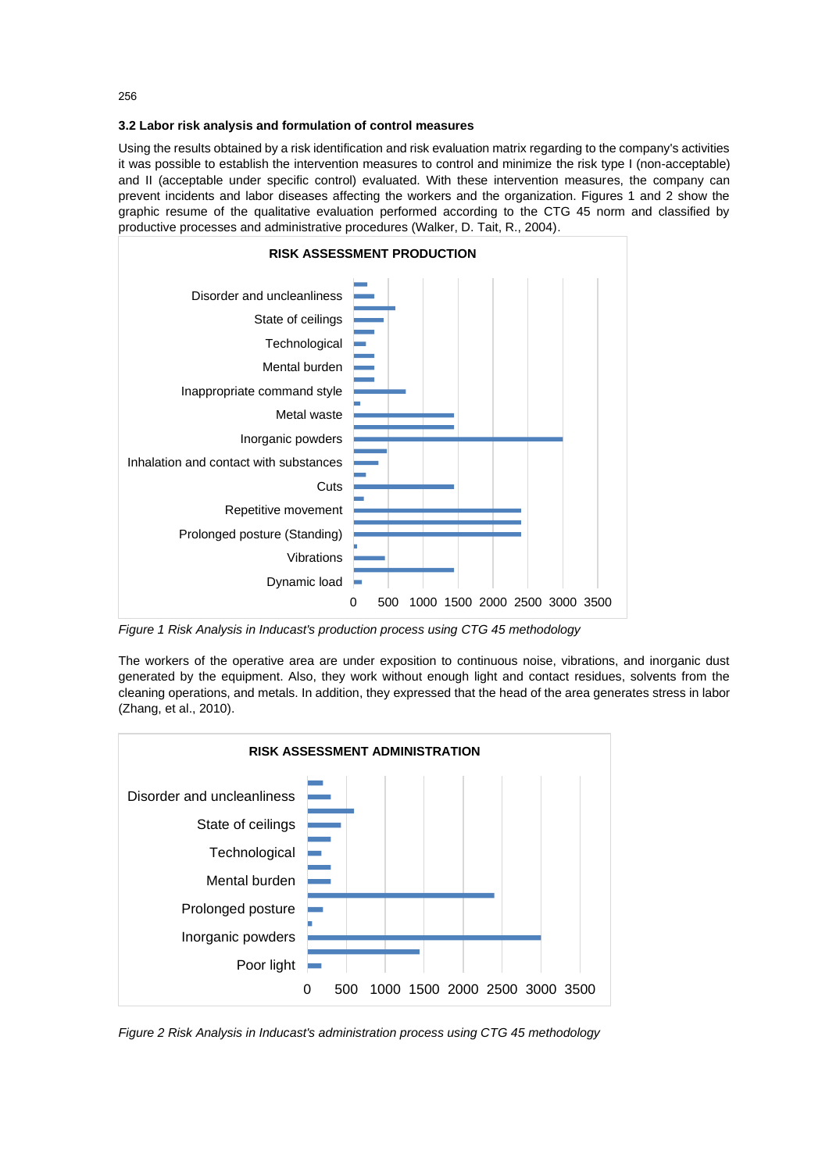**3.2 Labor risk analysis and formulation of control measures** 

Using the results obtained by a risk identification and risk evaluation matrix regarding to the company's activities it was possible to establish the intervention measures to control and minimize the risk type I (non-acceptable) and II (acceptable under specific control) evaluated. With these intervention measures, the company can prevent incidents and labor diseases affecting the workers and the organization. Figures 1 and 2 show the graphic resume of the qualitative evaluation performed according to the CTG 45 norm and classified by productive processes and administrative procedures (Walker, D. Tait, R., 2004).



*Figure 1 Risk Analysis in Inducast's production process using CTG 45 methodology*

The workers of the operative area are under exposition to continuous noise, vibrations, and inorganic dust generated by the equipment. Also, they work without enough light and contact residues, solvents from the cleaning operations, and metals. In addition, they expressed that the head of the area generates stress in labor (Zhang, et al., 2010).



*Figure 2 Risk Analysis in Inducast's administration process using CTG 45 methodology*

256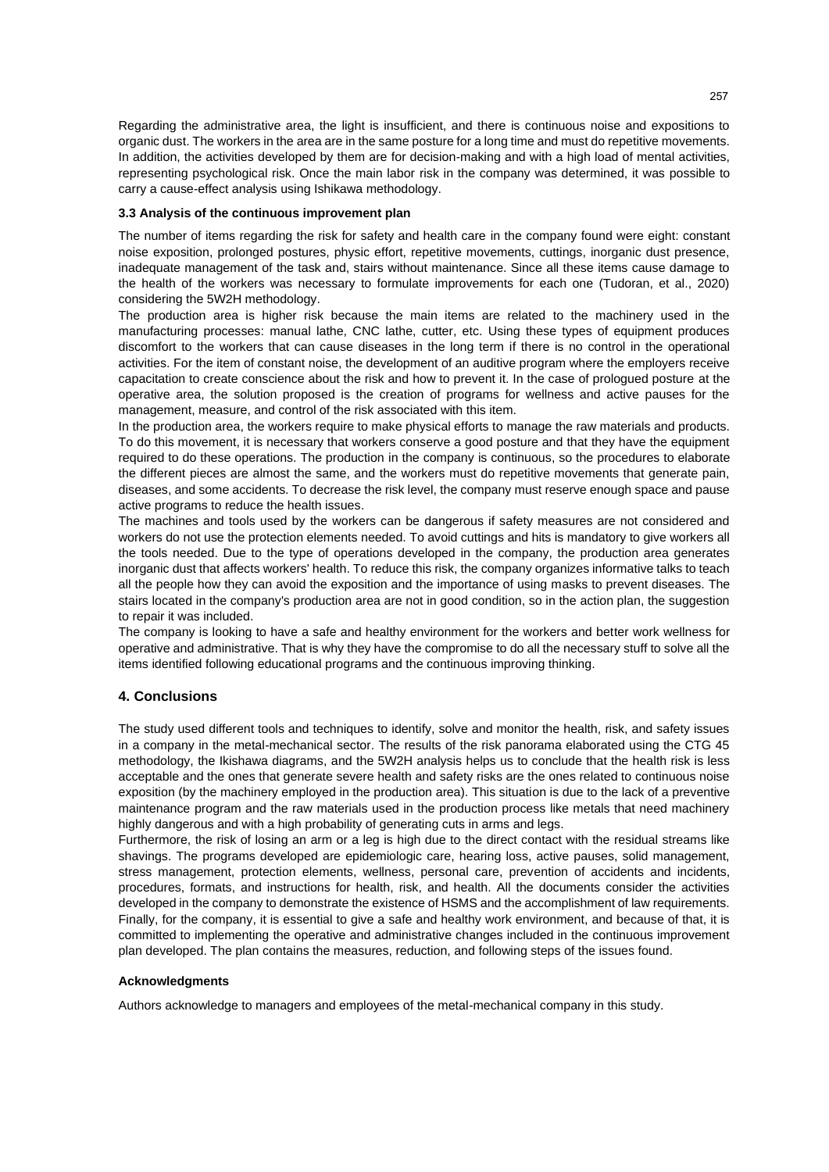Regarding the administrative area, the light is insufficient, and there is continuous noise and expositions to organic dust. The workers in the area are in the same posture for a long time and must do repetitive movements. In addition, the activities developed by them are for decision-making and with a high load of mental activities, representing psychological risk. Once the main labor risk in the company was determined, it was possible to carry a cause-effect analysis using Ishikawa methodology.

#### **3.3 Analysis of the continuous improvement plan**

The number of items regarding the risk for safety and health care in the company found were eight: constant noise exposition, prolonged postures, physic effort, repetitive movements, cuttings, inorganic dust presence, inadequate management of the task and, stairs without maintenance. Since all these items cause damage to the health of the workers was necessary to formulate improvements for each one (Tudoran, et al., 2020) considering the 5W2H methodology.

The production area is higher risk because the main items are related to the machinery used in the manufacturing processes: manual lathe, CNC lathe, cutter, etc. Using these types of equipment produces discomfort to the workers that can cause diseases in the long term if there is no control in the operational activities. For the item of constant noise, the development of an auditive program where the employers receive capacitation to create conscience about the risk and how to prevent it. In the case of prologued posture at the operative area, the solution proposed is the creation of programs for wellness and active pauses for the management, measure, and control of the risk associated with this item.

In the production area, the workers require to make physical efforts to manage the raw materials and products. To do this movement, it is necessary that workers conserve a good posture and that they have the equipment required to do these operations. The production in the company is continuous, so the procedures to elaborate the different pieces are almost the same, and the workers must do repetitive movements that generate pain, diseases, and some accidents. To decrease the risk level, the company must reserve enough space and pause active programs to reduce the health issues.

The machines and tools used by the workers can be dangerous if safety measures are not considered and workers do not use the protection elements needed. To avoid cuttings and hits is mandatory to give workers all the tools needed. Due to the type of operations developed in the company, the production area generates inorganic dust that affects workers' health. To reduce this risk, the company organizes informative talks to teach all the people how they can avoid the exposition and the importance of using masks to prevent diseases. The stairs located in the company's production area are not in good condition, so in the action plan, the suggestion to repair it was included.

The company is looking to have a safe and healthy environment for the workers and better work wellness for operative and administrative. That is why they have the compromise to do all the necessary stuff to solve all the items identified following educational programs and the continuous improving thinking.

## **4. Conclusions**

The study used different tools and techniques to identify, solve and monitor the health, risk, and safety issues in a company in the metal-mechanical sector. The results of the risk panorama elaborated using the CTG 45 methodology, the Ikishawa diagrams, and the 5W2H analysis helps us to conclude that the health risk is less acceptable and the ones that generate severe health and safety risks are the ones related to continuous noise exposition (by the machinery employed in the production area). This situation is due to the lack of a preventive maintenance program and the raw materials used in the production process like metals that need machinery highly dangerous and with a high probability of generating cuts in arms and legs.

Furthermore, the risk of losing an arm or a leg is high due to the direct contact with the residual streams like shavings. The programs developed are epidemiologic care, hearing loss, active pauses, solid management, stress management, protection elements, wellness, personal care, prevention of accidents and incidents, procedures, formats, and instructions for health, risk, and health. All the documents consider the activities developed in the company to demonstrate the existence of HSMS and the accomplishment of law requirements. Finally, for the company, it is essential to give a safe and healthy work environment, and because of that, it is committed to implementing the operative and administrative changes included in the continuous improvement plan developed. The plan contains the measures, reduction, and following steps of the issues found.

#### **Acknowledgments**

Authors acknowledge to managers and employees of the metal-mechanical company in this study.